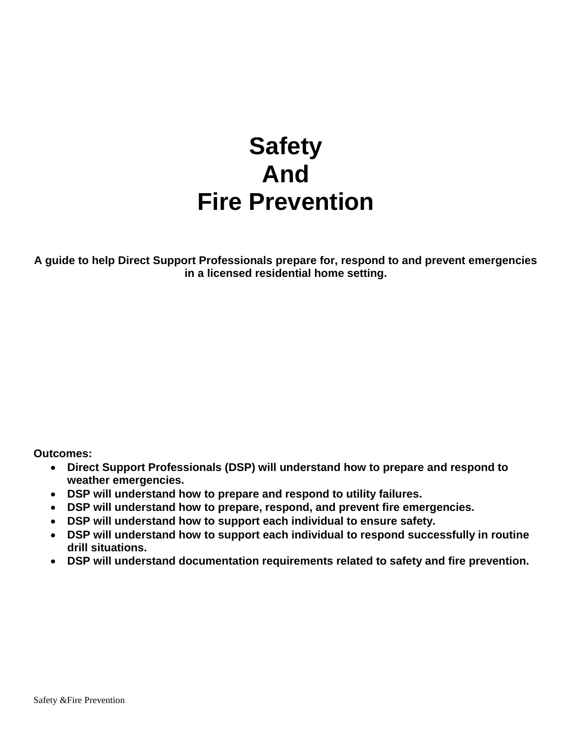# **Safety And Fire Prevention**

**A guide to help Direct Support Professionals prepare for, respond to and prevent emergencies in a licensed residential home setting.**

**Outcomes:**

- **Direct Support Professionals (DSP) will understand how to prepare and respond to weather emergencies.**
- **DSP will understand how to prepare and respond to utility failures.**
- **DSP will understand how to prepare, respond, and prevent fire emergencies.**
- **DSP will understand how to support each individual to ensure safety.**
- **DSP will understand how to support each individual to respond successfully in routine drill situations.**
- **DSP will understand documentation requirements related to safety and fire prevention.**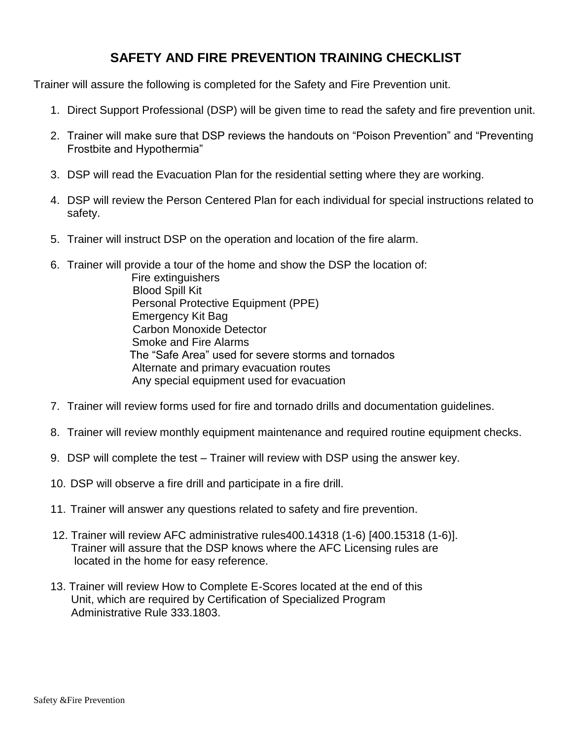# **SAFETY AND FIRE PREVENTION TRAINING CHECKLIST**

Trainer will assure the following is completed for the Safety and Fire Prevention unit.

- 1. Direct Support Professional (DSP) will be given time to read the safety and fire prevention unit.
- 2. Trainer will make sure that DSP reviews the handouts on "Poison Prevention" and "Preventing Frostbite and Hypothermia"
- 3. DSP will read the Evacuation Plan for the residential setting where they are working.
- 4. DSP will review the Person Centered Plan for each individual for special instructions related to safety.
- 5. Trainer will instruct DSP on the operation and location of the fire alarm.
- 6. Trainer will provide a tour of the home and show the DSP the location of:
	- Fire extinguishers Blood Spill Kit Personal Protective Equipment (PPE) Emergency Kit Bag Carbon Monoxide Detector Smoke and Fire Alarms The "Safe Area" used for severe storms and tornados Alternate and primary evacuation routes Any special equipment used for evacuation
- 7. Trainer will review forms used for fire and tornado drills and documentation guidelines.
- 8. Trainer will review monthly equipment maintenance and required routine equipment checks.
- 9. DSP will complete the test Trainer will review with DSP using the answer key.
- 10. DSP will observe a fire drill and participate in a fire drill.
- 11. Trainer will answer any questions related to safety and fire prevention.
- 12. Trainer will review AFC administrative rules400.14318 (1-6) [400.15318 (1-6)]. Trainer will assure that the DSP knows where the AFC Licensing rules are located in the home for easy reference.
- 13. Trainer will review How to Complete E-Scores located at the end of this Unit, which are required by Certification of Specialized Program Administrative Rule 333.1803.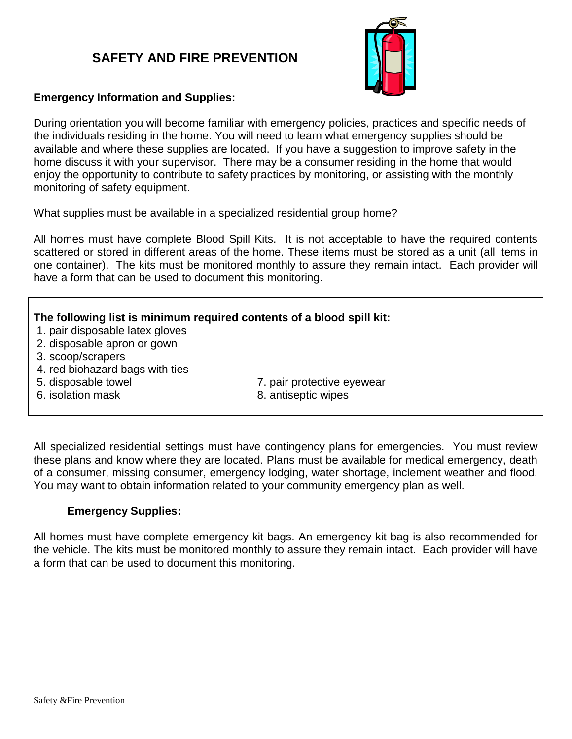# **SAFETY AND FIRE PREVENTION**



#### **Emergency Information and Supplies:**

During orientation you will become familiar with emergency policies, practices and specific needs of the individuals residing in the home. You will need to learn what emergency supplies should be available and where these supplies are located. If you have a suggestion to improve safety in the home discuss it with your supervisor. There may be a consumer residing in the home that would enjoy the opportunity to contribute to safety practices by monitoring, or assisting with the monthly monitoring of safety equipment.

What supplies must be available in a specialized residential group home?

All homes must have complete Blood Spill Kits. It is not acceptable to have the required contents scattered or stored in different areas of the home. These items must be stored as a unit (all items in one container). The kits must be monitored monthly to assure they remain intact. Each provider will have a form that can be used to document this monitoring.

#### **The following list is minimum required contents of a blood spill kit:**

- 1. pair disposable latex gloves
- 2. disposable apron or gown
- 3. scoop/scrapers
- 4. red biohazard bags with ties
- 
- 6. isolation mask 8. antiseptic wipes
- 5. disposable towel 7. pair protective eyewear
	-

All specialized residential settings must have contingency plans for emergencies. You must review these plans and know where they are located. Plans must be available for medical emergency, death of a consumer, missing consumer, emergency lodging, water shortage, inclement weather and flood. You may want to obtain information related to your community emergency plan as well.

#### **Emergency Supplies:**

All homes must have complete emergency kit bags. An emergency kit bag is also recommended for the vehicle. The kits must be monitored monthly to assure they remain intact. Each provider will have a form that can be used to document this monitoring.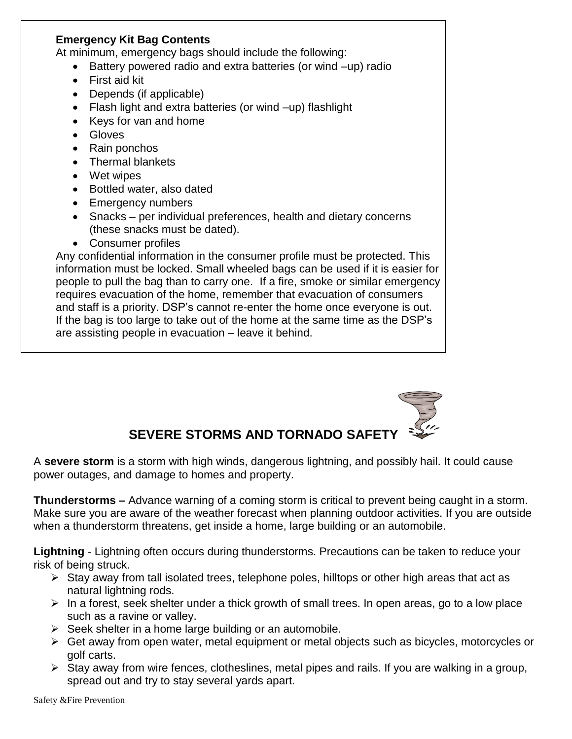#### **Emergency Kit Bag Contents**

At minimum, emergency bags should include the following:

- Battery powered radio and extra batteries (or wind –up) radio
- First aid kit
- Depends (if applicable)
- Flash light and extra batteries (or wind –up) flashlight
- Keys for van and home
- Gloves
- Rain ponchos
- Thermal blankets
- Wet wipes
- Bottled water, also dated
- Emergency numbers
- Snacks per individual preferences, health and dietary concerns (these snacks must be dated).
- Consumer profiles

Any confidential information in the consumer profile must be protected. This information must be locked. Small wheeled bags can be used if it is easier for people to pull the bag than to carry one. If a fire, smoke or similar emergency requires evacuation of the home, remember that evacuation of consumers and staff is a priority. DSP's cannot re-enter the home once everyone is out. If the bag is too large to take out of the home at the same time as the DSP's are assisting people in evacuation – leave it behind.



A **severe storm** is a storm with high winds, dangerous lightning, and possibly hail. It could cause power outages, and damage to homes and property.

**Thunderstorms –** Advance warning of a coming storm is critical to prevent being caught in a storm. Make sure you are aware of the weather forecast when planning outdoor activities. If you are outside when a thunderstorm threatens, get inside a home, large building or an automobile.

**Lightning** - Lightning often occurs during thunderstorms. Precautions can be taken to reduce your risk of being struck.

- $\triangleright$  Stay away from tall isolated trees, telephone poles, hilltops or other high areas that act as natural lightning rods.
- $\triangleright$  In a forest, seek shelter under a thick growth of small trees. In open areas, go to a low place such as a ravine or valley.
- $\triangleright$  Seek shelter in a home large building or an automobile.
- Get away from open water, metal equipment or metal objects such as bicycles, motorcycles or golf carts.
- $\triangleright$  Stay away from wire fences, clotheslines, metal pipes and rails. If you are walking in a group, spread out and try to stay several yards apart.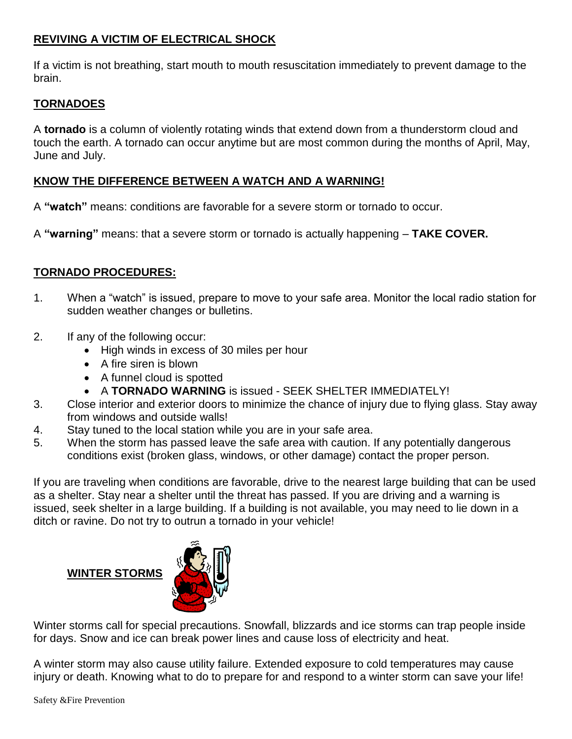### **REVIVING A VICTIM OF ELECTRICAL SHOCK**

If a victim is not breathing, start mouth to mouth resuscitation immediately to prevent damage to the brain.

### **TORNADOES**

A **tornado** is a column of violently rotating winds that extend down from a thunderstorm cloud and touch the earth. A tornado can occur anytime but are most common during the months of April, May, June and July.

### **KNOW THE DIFFERENCE BETWEEN A WATCH AND A WARNING!**

A **"watch"** means: conditions are favorable for a severe storm or tornado to occur.

A **"warning"** means: that a severe storm or tornado is actually happening – **TAKE COVER.**

### **TORNADO PROCEDURES:**

- 1. When a "watch" is issued, prepare to move to your safe area. Monitor the local radio station for sudden weather changes or bulletins.
- 2. If any of the following occur:
	- High winds in excess of 30 miles per hour
	- A fire siren is blown
	- A funnel cloud is spotted
	- A **TORNADO WARNING** is issued SEEK SHELTER IMMEDIATELY!
- 3. Close interior and exterior doors to minimize the chance of injury due to flying glass. Stay away from windows and outside walls!
- 4. Stay tuned to the local station while you are in your safe area.
- 5. When the storm has passed leave the safe area with caution. If any potentially dangerous conditions exist (broken glass, windows, or other damage) contact the proper person.

If you are traveling when conditions are favorable, drive to the nearest large building that can be used as a shelter. Stay near a shelter until the threat has passed. If you are driving and a warning is issued, seek shelter in a large building. If a building is not available, you may need to lie down in a ditch or ravine. Do not try to outrun a tornado in your vehicle!

#### **WINTER STORMS**



Winter storms call for special precautions. Snowfall, blizzards and ice storms can trap people inside for days. Snow and ice can break power lines and cause loss of electricity and heat.

A winter storm may also cause utility failure. Extended exposure to cold temperatures may cause injury or death. Knowing what to do to prepare for and respond to a winter storm can save your life!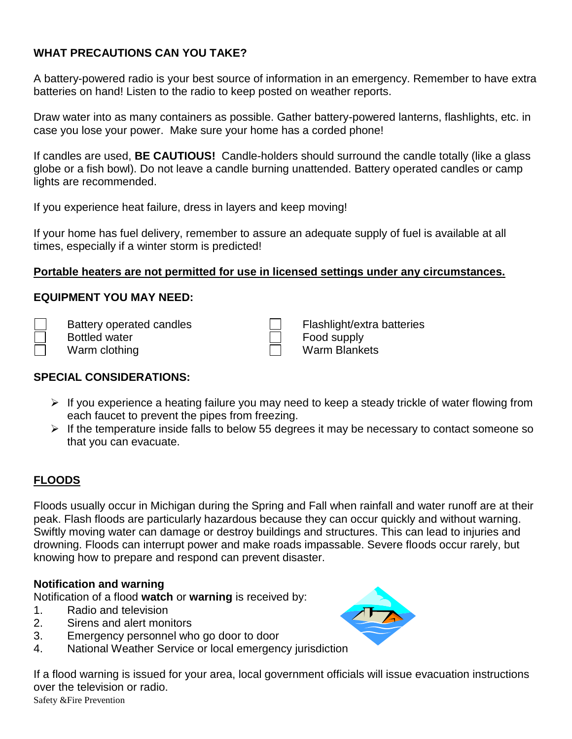### **WHAT PRECAUTIONS CAN YOU TAKE?**

A battery-powered radio is your best source of information in an emergency. Remember to have extra batteries on hand! Listen to the radio to keep posted on weather reports.

Draw water into as many containers as possible. Gather battery-powered lanterns, flashlights, etc. in case you lose your power. Make sure your home has a corded phone!

If candles are used, **BE CAUTIOUS!** Candle-holders should surround the candle totally (like a glass globe or a fish bowl). Do not leave a candle burning unattended. Battery operated candles or camp lights are recommended.

If you experience heat failure, dress in layers and keep moving!

If your home has fuel delivery, remember to assure an adequate supply of fuel is available at all times, especially if a winter storm is predicted!

### **Portable heaters are not permitted for use in licensed settings under any circumstances.**

#### **EQUIPMENT YOU MAY NEED:**

Bottled water  $\Box$  Food supply Warm clothing Warm Blankets

Battery operated candles Figure Flashlight/extra batteries

#### **SPECIAL CONSIDERATIONS:**

- $\triangleright$  If you experience a heating failure you may need to keep a steady trickle of water flowing from each faucet to prevent the pipes from freezing.
- $\triangleright$  If the temperature inside falls to below 55 degrees it may be necessary to contact someone so that you can evacuate.

### **FLOODS**

Floods usually occur in Michigan during the Spring and Fall when rainfall and water runoff are at their peak. Flash floods are particularly hazardous because they can occur quickly and without warning. Swiftly moving water can damage or destroy buildings and structures. This can lead to injuries and drowning. Floods can interrupt power and make roads impassable. Severe floods occur rarely, but knowing how to prepare and respond can prevent disaster.

#### **Notification and warning**

Notification of a flood **watch** or **warning** is received by:

- 1. Radio and television
- 2. Sirens and alert monitors
- 3. Emergency personnel who go door to door
- 4. National Weather Service or local emergency jurisdiction

Safety &Fire Prevention If a flood warning is issued for your area, local government officials will issue evacuation instructions over the television or radio.

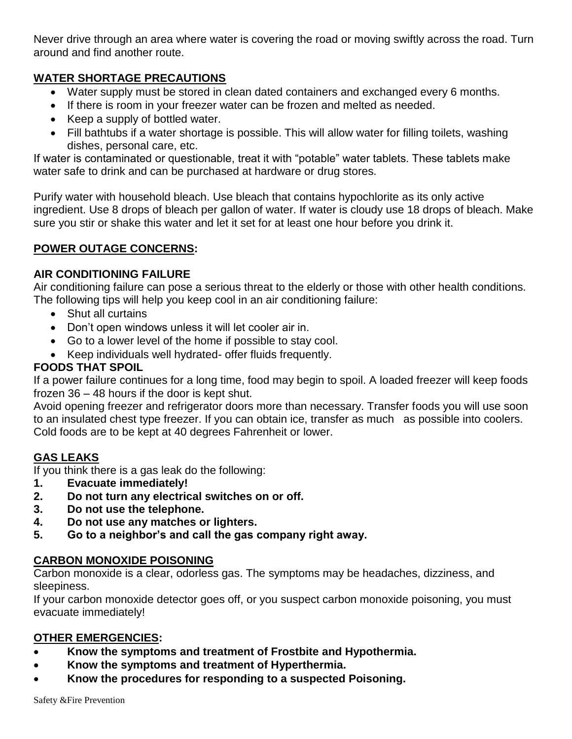Never drive through an area where water is covering the road or moving swiftly across the road. Turn around and find another route.

### **WATER SHORTAGE PRECAUTIONS**

- Water supply must be stored in clean dated containers and exchanged every 6 months.
- If there is room in your freezer water can be frozen and melted as needed.
- Keep a supply of bottled water.
- Fill bathtubs if a water shortage is possible. This will allow water for filling toilets, washing dishes, personal care, etc.

If water is contaminated or questionable, treat it with "potable" water tablets. These tablets make water safe to drink and can be purchased at hardware or drug stores.

Purify water with household bleach. Use bleach that contains hypochlorite as its only active ingredient. Use 8 drops of bleach per gallon of water. If water is cloudy use 18 drops of bleach. Make sure you stir or shake this water and let it set for at least one hour before you drink it.

### **POWER OUTAGE CONCERNS:**

### **AIR CONDITIONING FAILURE**

Air conditioning failure can pose a serious threat to the elderly or those with other health conditions. The following tips will help you keep cool in an air conditioning failure:

- Shut all curtains
- Don't open windows unless it will let cooler air in.
- Go to a lower level of the home if possible to stay cool.
- Keep individuals well hydrated- offer fluids frequently.

#### **FOODS THAT SPOIL**

If a power failure continues for a long time, food may begin to spoil. A loaded freezer will keep foods frozen 36 – 48 hours if the door is kept shut.

Avoid opening freezer and refrigerator doors more than necessary. Transfer foods you will use soon to an insulated chest type freezer. If you can obtain ice, transfer as much as possible into coolers. Cold foods are to be kept at 40 degrees Fahrenheit or lower.

### **GAS LEAKS**

If you think there is a gas leak do the following:

- **1. Evacuate immediately!**
- **2. Do not turn any electrical switches on or off.**
- **3. Do not use the telephone.**
- **4. Do not use any matches or lighters.**
- **5. Go to a neighbor's and call the gas company right away.**

### **CARBON MONOXIDE POISONING**

Carbon monoxide is a clear, odorless gas. The symptoms may be headaches, dizziness, and sleepiness.

If your carbon monoxide detector goes off, or you suspect carbon monoxide poisoning, you must evacuate immediately!

### **OTHER EMERGENCIES:**

- **Know the symptoms and treatment of Frostbite and Hypothermia.**
- **Know the symptoms and treatment of Hyperthermia.**
- **Know the procedures for responding to a suspected Poisoning.**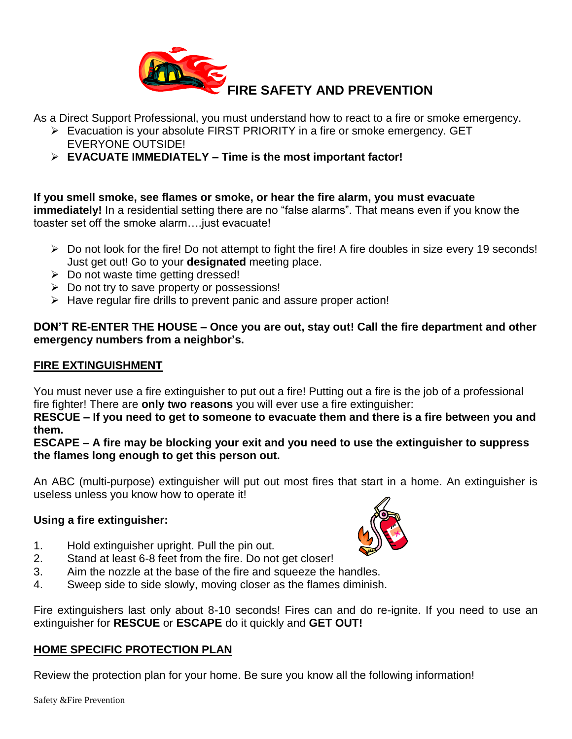

As a Direct Support Professional, you must understand how to react to a fire or smoke emergency.

- Evacuation is your absolute FIRST PRIORITY in a fire or smoke emergency. GET EVERYONE OUTSIDE!
- **EVACUATE IMMEDIATELY – Time is the most important factor!**

**If you smell smoke, see flames or smoke, or hear the fire alarm, you must evacuate immediately!** In a residential setting there are no "false alarms". That means even if you know the toaster set off the smoke alarm….just evacuate!

- $\triangleright$  Do not look for the fire! Do not attempt to fight the fire! A fire doubles in size every 19 seconds! Just get out! Go to your **designated** meeting place.
- $\triangleright$  Do not waste time getting dressed!
- $\triangleright$  Do not try to save property or possessions!
- $\triangleright$  Have regular fire drills to prevent panic and assure proper action!

#### **DON'T RE-ENTER THE HOUSE – Once you are out, stay out! Call the fire department and other emergency numbers from a neighbor's.**

### **FIRE EXTINGUISHMENT**

You must never use a fire extinguisher to put out a fire! Putting out a fire is the job of a professional fire fighter! There are **only two reasons** you will ever use a fire extinguisher:

**RESCUE – If you need to get to someone to evacuate them and there is a fire between you and them.** 

**ESCAPE – A fire may be blocking your exit and you need to use the extinguisher to suppress the flames long enough to get this person out.** 

An ABC (multi-purpose) extinguisher will put out most fires that start in a home. An extinguisher is useless unless you know how to operate it!

### **Using a fire extinguisher:**

- 1. Hold extinguisher upright. Pull the pin out.
- 2. Stand at least 6-8 feet from the fire. Do not get closer!
- 3. Aim the nozzle at the base of the fire and squeeze the handles.
- 4. Sweep side to side slowly, moving closer as the flames diminish.

Fire extinguishers last only about 8-10 seconds! Fires can and do re-ignite. If you need to use an extinguisher for **RESCUE** or **ESCAPE** do it quickly and **GET OUT!**

### **HOME SPECIFIC PROTECTION PLAN**

Review the protection plan for your home. Be sure you know all the following information!

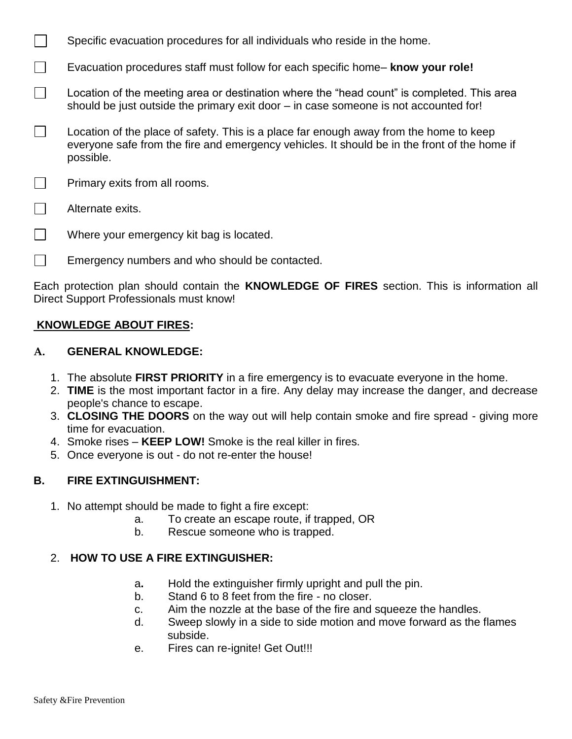- Specific evacuation procedures for all individuals who reside in the home.
- $\Box$ Evacuation procedures staff must follow for each specific home– **know your role!**
- $\Box$ Location of the meeting area or destination where the "head count" is completed. This area should be just outside the primary exit door – in case someone is not accounted for!
- $\mathbf{L}$ Location of the place of safety. This is a place far enough away from the home to keep everyone safe from the fire and emergency vehicles. It should be in the front of the home if possible.
- $\Box$ Primary exits from all rooms.
- $\Box$ Alternate exits.
- $\Box$ Where your emergency kit bag is located.
- $\Box$ Emergency numbers and who should be contacted.

Each protection plan should contain the **KNOWLEDGE OF FIRES** section. This is information all Direct Support Professionals must know!

#### **KNOWLEDGE ABOUT FIRES:**

#### **A. GENERAL KNOWLEDGE:**

- 1. The absolute **FIRST PRIORITY** in a fire emergency is to evacuate everyone in the home.
- 2. **TIME** is the most important factor in a fire. Any delay may increase the danger, and decrease people's chance to escape.
- 3. **CLOSING THE DOORS** on the way out will help contain smoke and fire spread giving more time for evacuation.
- 4. Smoke rises **KEEP LOW!** Smoke is the real killer in fires.
- 5. Once everyone is out do not re-enter the house!

#### **B. FIRE EXTINGUISHMENT:**

- 1. No attempt should be made to fight a fire except:
	- a. To create an escape route, if trapped, OR
	- b. Rescue someone who is trapped.

#### 2. **HOW TO USE A FIRE EXTINGUISHER:**

- a**.** Hold the extinguisher firmly upright and pull the pin.
- b. Stand 6 to 8 feet from the fire no closer.
- c. Aim the nozzle at the base of the fire and squeeze the handles.
- d. Sweep slowly in a side to side motion and move forward as the flames subside.
- e. Fires can re-ignite! Get Out!!!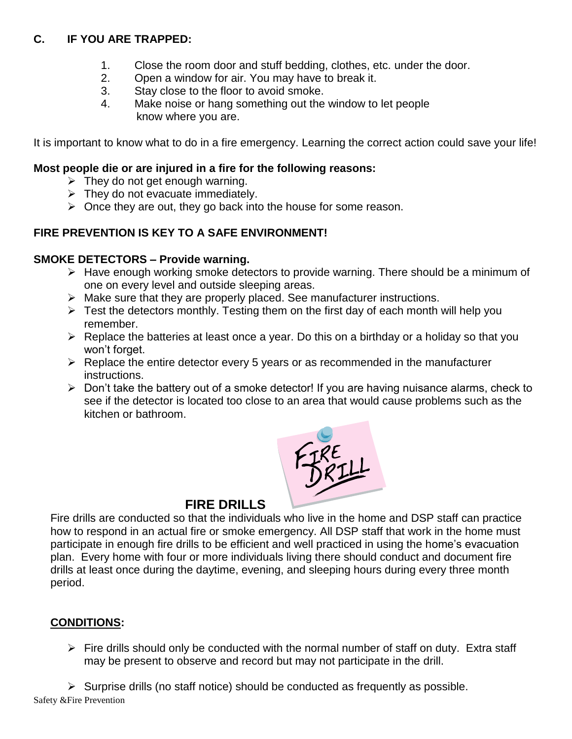### **C. IF YOU ARE TRAPPED:**

- 1. Close the room door and stuff bedding, clothes, etc. under the door.
- 2. Open a window for air. You may have to break it.
- 3. Stay close to the floor to avoid smoke.
- 4. Make noise or hang something out the window to let people know where you are.

It is important to know what to do in a fire emergency. Learning the correct action could save your life!

#### **Most people die or are injured in a fire for the following reasons:**

- $\triangleright$  They do not get enough warning.
- $\triangleright$  They do not evacuate immediately.
- $\triangleright$  Once they are out, they go back into the house for some reason.

### **FIRE PREVENTION IS KEY TO A SAFE ENVIRONMENT!**

### **SMOKE DETECTORS – Provide warning.**

- $\triangleright$  Have enough working smoke detectors to provide warning. There should be a minimum of one on every level and outside sleeping areas.
- $\triangleright$  Make sure that they are properly placed. See manufacturer instructions.
- $\triangleright$  Test the detectors monthly. Testing them on the first day of each month will help you remember.
- $\triangleright$  Replace the batteries at least once a year. Do this on a birthday or a holiday so that you won't forget.
- $\triangleright$  Replace the entire detector every 5 years or as recommended in the manufacturer instructions.
- $\triangleright$  Don't take the battery out of a smoke detector! If you are having nuisance alarms, check to see if the detector is located too close to an area that would cause problems such as the kitchen or bathroom.



### **FIRE DRILLS**

Fire drills are conducted so that the individuals who live in the home and DSP staff can practice how to respond in an actual fire or smoke emergency. All DSP staff that work in the home must participate in enough fire drills to be efficient and well practiced in using the home's evacuation plan. Every home with four or more individuals living there should conduct and document fire drills at least once during the daytime, evening, and sleeping hours during every three month period.

### **CONDITIONS:**

 $\triangleright$  Fire drills should only be conducted with the normal number of staff on duty. Extra staff may be present to observe and record but may not participate in the drill.

Safety &Fire Prevention  $\triangleright$  Surprise drills (no staff notice) should be conducted as frequently as possible.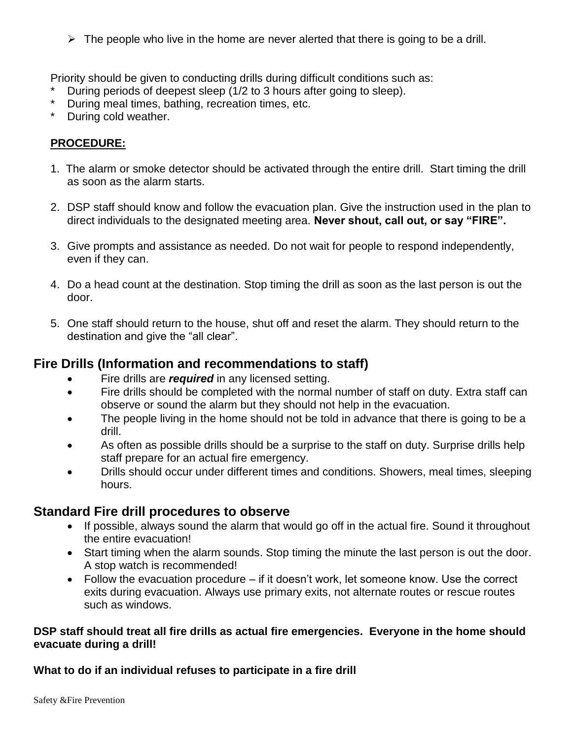$\triangleright$  The people who live in the home are never alerted that there is going to be a drill.

Priority should be given to conducting drills during difficult conditions such as:

- During periods of deepest sleep (1/2 to 3 hours after going to sleep).
- During meal times, bathing, recreation times, etc.
- \* During cold weather.

#### **PROCEDURE:**

- 1. The alarm or smoke detector should be activated through the entire drill. Start timing the drill as soon as the alarm starts.
- 2. DSP staff should know and follow the evacuation plan. Give the instruction used in the plan to direct individuals to the designated meeting area. **Never shout, call out, or say "FIRE".**
- 3. Give prompts and assistance as needed. Do not wait for people to respond independently, even if they can.
- 4. Do a head count at the destination. Stop timing the drill as soon as the last person is out the door.
- 5. One staff should return to the house, shut off and reset the alarm. They should return to the destination and give the "all clear".

### **Fire Drills (Information and recommendations to staff)**

- **Fire drills are** *required* in any licensed setting.
- Fire drills should be completed with the normal number of staff on duty. Extra staff can observe or sound the alarm but they should not help in the evacuation.
- The people living in the home should not be told in advance that there is going to be a drill.
- As often as possible drills should be a surprise to the staff on duty. Surprise drills help staff prepare for an actual fire emergency.
- Drills should occur under different times and conditions. Showers, meal times, sleeping hours.

### **Standard Fire drill procedures to observe**

- If possible, always sound the alarm that would go off in the actual fire. Sound it throughout the entire evacuation!
- Start timing when the alarm sounds. Stop timing the minute the last person is out the door. A stop watch is recommended!
- Follow the evacuation procedure if it doesn't work, let someone know. Use the correct exits during evacuation. Always use primary exits, not alternate routes or rescue routes such as windows.

#### **DSP staff should treat all fire drills as actual fire emergencies. Everyone in the home should evacuate during a drill!**

### **What to do if an individual refuses to participate in a fire drill**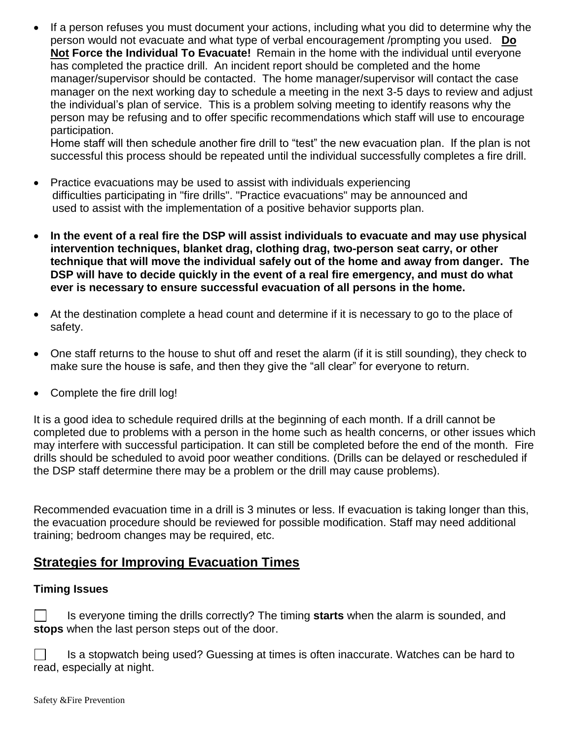If a person refuses you must document your actions, including what you did to determine why the person would not evacuate and what type of verbal encouragement /prompting you used. **Do Not Force the Individual To Evacuate!** Remain in the home with the individual until everyone has completed the practice drill. An incident report should be completed and the home manager/supervisor should be contacted. The home manager/supervisor will contact the case manager on the next working day to schedule a meeting in the next 3-5 days to review and adjust the individual's plan of service. This is a problem solving meeting to identify reasons why the person may be refusing and to offer specific recommendations which staff will use to encourage participation.

Home staff will then schedule another fire drill to "test" the new evacuation plan. If the plan is not successful this process should be repeated until the individual successfully completes a fire drill.

- Practice evacuations may be used to assist with individuals experiencing difficulties participating in "fire drills". "Practice evacuations" may be announced and used to assist with the implementation of a positive behavior supports plan.
- **In the event of a real fire the DSP will assist individuals to evacuate and may use physical intervention techniques, blanket drag, clothing drag, two-person seat carry, or other technique that will move the individual safely out of the home and away from danger. The DSP will have to decide quickly in the event of a real fire emergency, and must do what ever is necessary to ensure successful evacuation of all persons in the home.**
- At the destination complete a head count and determine if it is necessary to go to the place of safety.
- One staff returns to the house to shut off and reset the alarm (if it is still sounding), they check to make sure the house is safe, and then they give the "all clear" for everyone to return.
- Complete the fire drill log!

It is a good idea to schedule required drills at the beginning of each month. If a drill cannot be completed due to problems with a person in the home such as health concerns, or other issues which may interfere with successful participation. It can still be completed before the end of the month. Fire drills should be scheduled to avoid poor weather conditions. (Drills can be delayed or rescheduled if the DSP staff determine there may be a problem or the drill may cause problems).

Recommended evacuation time in a drill is 3 minutes or less. If evacuation is taking longer than this, the evacuation procedure should be reviewed for possible modification. Staff may need additional training; bedroom changes may be required, etc.

### **Strategies for Improving Evacuation Times**

### **Timing Issues**

 $\perp$ Is everyone timing the drills correctly? The timing **starts** when the alarm is sounded, and **stops** when the last person steps out of the door.

 $\Box$ Is a stopwatch being used? Guessing at times is often inaccurate. Watches can be hard to read, especially at night.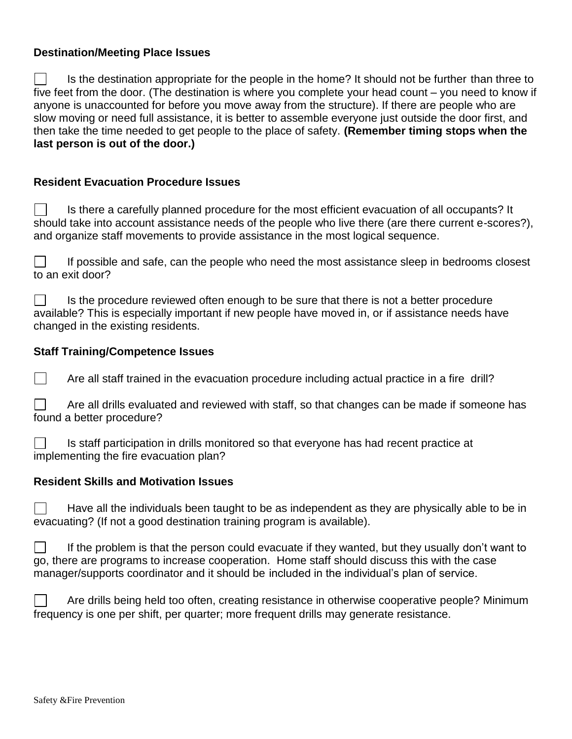#### **Destination/Meeting Place Issues**

Is the destination appropriate for the people in the home? It should not be further than three to five feet from the door. (The destination is where you complete your head count – you need to know if anyone is unaccounted for before you move away from the structure). If there are people who are slow moving or need full assistance, it is better to assemble everyone just outside the door first, and then take the time needed to get people to the place of safety. **(Remember timing stops when the last person is out of the door.)**

#### **Resident Evacuation Procedure Issues**

 $\Box$ Is there a carefully planned procedure for the most efficient evacuation of all occupants? It should take into account assistance needs of the people who live there (are there current e-scores?), and organize staff movements to provide assistance in the most logical sequence.

If possible and safe, can the people who need the most assistance sleep in bedrooms closest to an exit door?

 $\perp$ Is the procedure reviewed often enough to be sure that there is not a better procedure available? This is especially important if new people have moved in, or if assistance needs have changed in the existing residents.

#### **Staff Training/Competence Issues**

 $\Box$ Are all staff trained in the evacuation procedure including actual practice in a fire drill?

Are all drills evaluated and reviewed with staff, so that changes can be made if someone has found a better procedure?

П Is staff participation in drills monitored so that everyone has had recent practice at implementing the fire evacuation plan?

#### **Resident Skills and Motivation Issues**

Have all the individuals been taught to be as independent as they are physically able to be in evacuating? (If not a good destination training program is available).

If the problem is that the person could evacuate if they wanted, but they usually don't want to go, there are programs to increase cooperation. Home staff should discuss this with the case manager/supports coordinator and it should be included in the individual's plan of service.

Are drills being held too often, creating resistance in otherwise cooperative people? Minimum frequency is one per shift, per quarter; more frequent drills may generate resistance.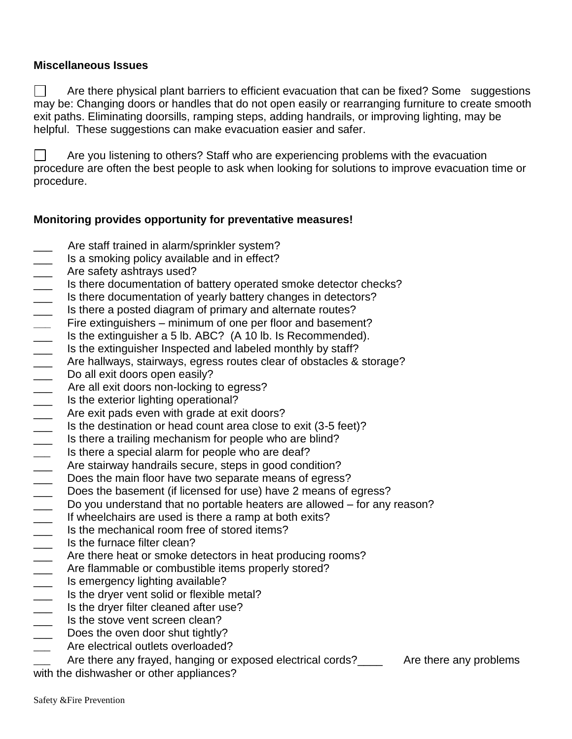#### **Miscellaneous Issues**

 $\perp$ Are there physical plant barriers to efficient evacuation that can be fixed? Some suggestions may be: Changing doors or handles that do not open easily or rearranging furniture to create smooth exit paths. Eliminating doorsills, ramping steps, adding handrails, or improving lighting, may be helpful. These suggestions can make evacuation easier and safer.

Are you listening to others? Staff who are experiencing problems with the evacuation procedure are often the best people to ask when looking for solutions to improve evacuation time or procedure.

#### **Monitoring provides opportunity for preventative measures!**

- Are staff trained in alarm/sprinkler system?
- Is a smoking policy available and in effect?
- \_\_\_ Are safety ashtrays used?
- Is there documentation of battery operated smoke detector checks?
- \_\_\_ Is there documentation of yearly battery changes in detectors?
- **1** Is there a posted diagram of primary and alternate routes?
- **\_\_\_** Fire extinguishers minimum of one per floor and basement?
- \_\_\_ Is the extinguisher a 5 lb. ABC? (A 10 lb. Is Recommended).
- **\_\_\_** Is the extinguisher Inspected and labeled monthly by staff?
- \_\_\_ Are hallways, stairways, egress routes clear of obstacles & storage?<br>
\_\_\_ Do all exit doors open easily?
- Do all exit doors open easily?
- \_\_\_ Are all exit doors non-locking to egress?
- **\_\_\_** Is the exterior lighting operational?
- 
- Is the destination or head count area close to exit (3-5 feet)?
- \_\_\_ Are exit pads even with grade at exit doors?<br>
Is the destination or head count area close to<br>
Is there a trailing mechanism for people who Is there a trailing mechanism for people who are blind?
- \_\_\_ Is there a special alarm for people who are deaf?
- 
- The stairway handrails secure, steps in good condition?<br>
Does the main floor have two separate means of egress Does the main floor have two separate means of egress?
- \_\_\_ Does the basement (if licensed for use) have 2 means of egress?
- Do you understand that no portable heaters are allowed for any reason?<br>
If wheelchairs are used is there a ramp at both exits?
- If wheelchairs are used is there a ramp at both exits?
- $\frac{1}{\sqrt{2}}$  Is the mechanical room free of stored items?
- 
- Let the furnace filter clean?<br>Are there heat or smoke dend the flammable or combust Are there heat or smoke detectors in heat producing rooms?
- The flammable or combustible items properly stored?<br>
Is emergency lighting available?<br>
Is the dryer vent solid or flexible metal?<br>
Is the dryer filter cleaned after use?<br>
Is the stove vent screen clean?
- Is emergency lighting available?
- Is the dryer vent solid or flexible metal?
- Is the dryer filter cleaned after use?
- Is the stove vent screen clean?
- \_\_\_ Does the oven door shut tightly?
- Are electrical outlets overloaded?

Are there any frayed, hanging or exposed electrical cords?\_\_\_\_ Are there any problems

with the dishwasher or other appliances?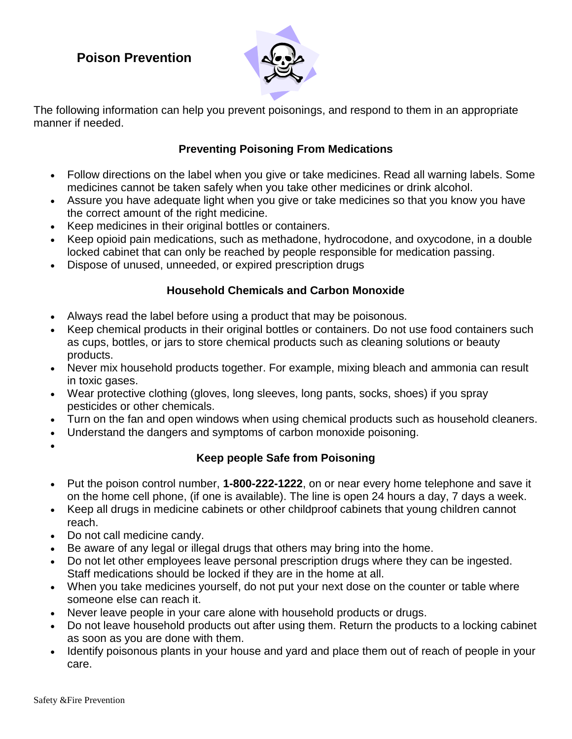# **Poison Prevention**



The following information can help you prevent poisonings, and respond to them in an appropriate manner if needed.

### **Preventing Poisoning From Medications**

- Follow directions on the label when you give or take medicines. Read all warning labels. Some medicines cannot be taken safely when you take other medicines or drink alcohol.
- Assure you have adequate light when you give or take medicines so that you know you have the correct amount of the right medicine.
- Keep medicines in their original bottles or containers.
- Keep opioid pain medications, such as methadone, hydrocodone, and oxycodone, in a double locked cabinet that can only be reached by people responsible for medication passing.
- Dispose of unused, unneeded, or expired prescription drugs

### **Household Chemicals and Carbon Monoxide**

- Always read the label before using a product that may be poisonous.
- Keep chemical products in their original bottles or containers. Do not use food containers such as cups, bottles, or jars to store chemical products such as cleaning solutions or beauty products.
- Never mix household products together. For example, mixing bleach and ammonia can result in toxic gases.
- Wear protective clothing (gloves, long sleeves, long pants, socks, shoes) if you spray pesticides or other chemicals.
- Turn on the fan and open windows when using chemical products such as household cleaners.
- Understand the dangers and symptoms of carbon monoxide poisoning.
- $\bullet$

### **Keep people Safe from Poisoning**

- Put the poison control number, **1-800-222-1222**, on or near every home telephone and save it on the home cell phone, (if one is available). The line is open 24 hours a day, 7 days a week.
- Keep all drugs in medicine cabinets or other childproof cabinets that young children cannot reach.
- Do not call medicine candy.
- Be aware of any legal or illegal drugs that others may bring into the home.
- Do not let other employees leave personal prescription drugs where they can be ingested. Staff medications should be locked if they are in the home at all.
- When you take medicines yourself, do not put your next dose on the counter or table where someone else can reach it.
- Never leave people in your care alone with household products or drugs.
- Do not leave household products out after using them. Return the products to a locking cabinet as soon as you are done with them.
- Identify poisonous plants in your house and yard and place them out of reach of people in your care.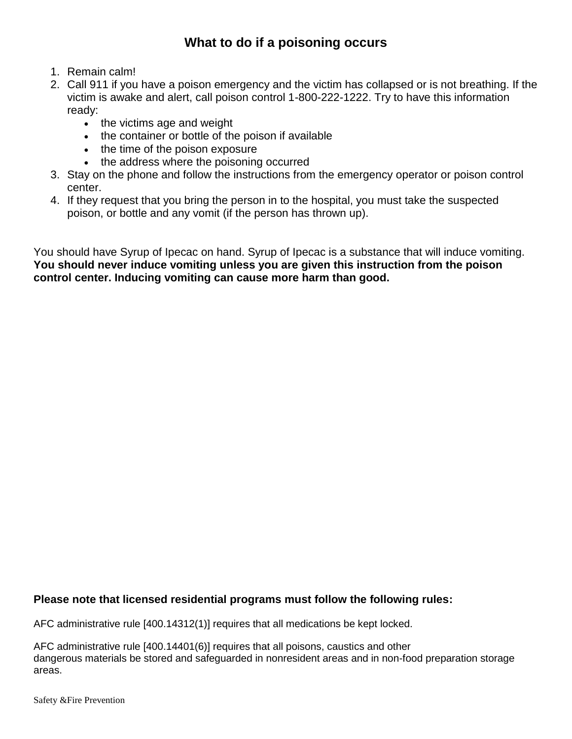# **What to do if a poisoning occurs**

- 1. Remain calm!
- 2. Call 911 if you have a poison emergency and the victim has collapsed or is not breathing. If the victim is awake and alert, call poison control 1-800-222-1222. Try to have this information ready:
	- the victims age and weight
	- the container or bottle of the poison if available
	- the time of the poison exposure
	- the address where the poisoning occurred
- 3. Stay on the phone and follow the instructions from the emergency operator or poison control center.
- 4. If they request that you bring the person in to the hospital, you must take the suspected poison, or bottle and any vomit (if the person has thrown up).

You should have Syrup of Ipecac on hand. Syrup of Ipecac is a substance that will induce vomiting. **You should never induce vomiting unless you are given this instruction from the poison control center. Inducing vomiting can cause more harm than good.** 

#### **Please note that licensed residential programs must follow the following rules:**

AFC administrative rule [400.14312(1)] requires that all medications be kept locked.

AFC administrative rule [400.14401(6)] requires that all poisons, caustics and other dangerous materials be stored and safeguarded in nonresident areas and in non-food preparation storage areas.

Safety &Fire Prevention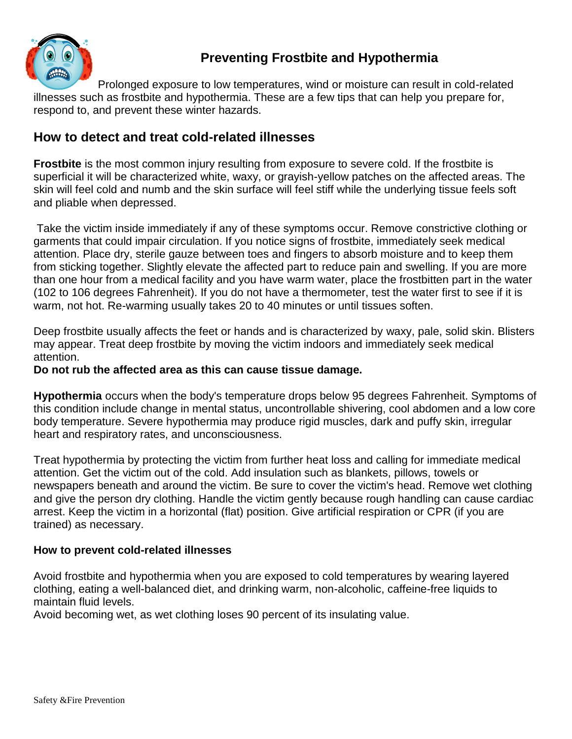

# **Preventing Frostbite and Hypothermia**

Prolonged exposure to low temperatures, wind or moisture can result in cold-related illnesses such as frostbite and hypothermia. These are a few tips that can help you prepare for, respond to, and prevent these winter hazards.

## **How to detect and treat cold-related illnesses**

**Frostbite** is the most common injury resulting from exposure to severe cold. If the frostbite is superficial it will be characterized white, waxy, or grayish-yellow patches on the affected areas. The skin will feel cold and numb and the skin surface will feel stiff while the underlying tissue feels soft and pliable when depressed.

Take the victim inside immediately if any of these symptoms occur. Remove constrictive clothing or garments that could impair circulation. If you notice signs of frostbite, immediately seek medical attention. Place dry, sterile gauze between toes and fingers to absorb moisture and to keep them from sticking together. Slightly elevate the affected part to reduce pain and swelling. If you are more than one hour from a medical facility and you have warm water, place the frostbitten part in the water (102 to 106 degrees Fahrenheit). If you do not have a thermometer, test the water first to see if it is warm, not hot. Re-warming usually takes 20 to 40 minutes or until tissues soften.

Deep frostbite usually affects the feet or hands and is characterized by waxy, pale, solid skin. Blisters may appear. Treat deep frostbite by moving the victim indoors and immediately seek medical attention.

#### **Do not rub the affected area as this can cause tissue damage.**

**Hypothermia** occurs when the body's temperature drops below 95 degrees Fahrenheit. Symptoms of this condition include change in mental status, uncontrollable shivering, cool abdomen and a low core body temperature. Severe hypothermia may produce rigid muscles, dark and puffy skin, irregular heart and respiratory rates, and unconsciousness.

Treat hypothermia by protecting the victim from further heat loss and calling for immediate medical attention. Get the victim out of the cold. Add insulation such as blankets, pillows, towels or newspapers beneath and around the victim. Be sure to cover the victim's head. Remove wet clothing and give the person dry clothing. Handle the victim gently because rough handling can cause cardiac arrest. Keep the victim in a horizontal (flat) position. Give artificial respiration or CPR (if you are trained) as necessary.

### **How to prevent cold-related illnesses**

Avoid frostbite and hypothermia when you are exposed to cold temperatures by wearing layered clothing, eating a well-balanced diet, and drinking warm, non-alcoholic, caffeine-free liquids to maintain fluid levels.

Avoid becoming wet, as wet clothing loses 90 percent of its insulating value.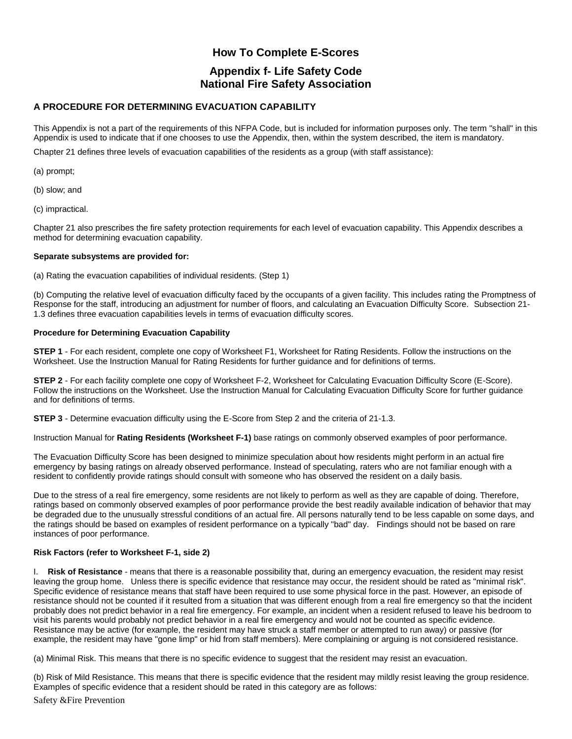### **How To Complete E-Scores Appendix f- Life Safety Code**

#### **National Fire Safety Association**

#### **A PROCEDURE FOR DETERMINING EVACUATION CAPABILITY**

This Appendix is not a part of the requirements of this NFPA Code, but is included for information purposes only. The term "shall" in this Appendix is used to indicate that if one chooses to use the Appendix, then, within the system described, the item is mandatory.

Chapter 21 defines three levels of evacuation capabilities of the residents as a group (with staff assistance):

(a) prompt;

(b) slow; and

(c) impractical.

Chapter 21 also prescribes the fire safety protection requirements for each level of evacuation capability. This Appendix describes a method for determining evacuation capability.

#### **Separate subsystems are provided for:**

(a) Rating the evacuation capabilities of individual residents. (Step 1)

(b) Computing the relative level of evacuation difficulty faced by the occupants of a given facility. This includes rating the Promptness of Response for the staff, introducing an adjustment for number of floors, and calculating an Evacuation Difficulty Score. Subsection 21- 1.3 defines three evacuation capabilities levels in terms of evacuation difficulty scores.

#### **Procedure for Determining Evacuation Capability**

**STEP 1** - For each resident, complete one copy of Worksheet F1, Worksheet for Rating Residents. Follow the instructions on the Worksheet. Use the Instruction Manual for Rating Residents for further guidance and for definitions of terms.

**STEP 2** - For each facility complete one copy of Worksheet F-2, Worksheet for Calculating Evacuation Difficulty Score (E-Score). Follow the instructions on the Worksheet. Use the Instruction Manual for Calculating Evacuation Difficulty Score for further guidance and for definitions of terms.

**STEP 3** - Determine evacuation difficulty using the E-Score from Step 2 and the criteria of 21-1.3.

Instruction Manual for **Rating Residents (Worksheet F-1)** base ratings on commonly observed examples of poor performance.

The Evacuation Difficulty Score has been designed to minimize speculation about how residents might perform in an actual fire emergency by basing ratings on already observed performance. Instead of speculating, raters who are not familiar enough with a resident to confidently provide ratings should consult with someone who has observed the resident on a daily basis.

Due to the stress of a real fire emergency, some residents are not likely to perform as well as they are capable of doing. Therefore, ratings based on commonly observed examples of poor performance provide the best readily available indication of behavior that may be degraded due to the unusually stressful conditions of an actual fire. All persons naturally tend to be less capable on some days, and the ratings should be based on examples of resident performance on a typically "bad" day. Findings should not be based on rare instances of poor performance.

#### **Risk Factors (refer to Worksheet F-1, side 2)**

I. **Risk of Resistance** - means that there is a reasonable possibility that, during an emergency evacuation, the resident may resist leaving the group home. Unless there is specific evidence that resistance may occur, the resident should be rated as "minimal risk". Specific evidence of resistance means that staff have been required to use some physical force in the past. However, an episode of resistance should not be counted if it resulted from a situation that was different enough from a real fire emergency so that the incident probably does not predict behavior in a real fire emergency. For example, an incident when a resident refused to leave his bedroom to visit his parents would probably not predict behavior in a real fire emergency and would not be counted as specific evidence. Resistance may be active (for example, the resident may have struck a staff member or attempted to run away) or passive (for example, the resident may have "gone limp" or hid from staff members). Mere complaining or arguing is not considered resistance.

(a) Minimal Risk. This means that there is no specific evidence to suggest that the resident may resist an evacuation.

(b) Risk of Mild Resistance. This means that there is specific evidence that the resident may mildly resist leaving the group residence. Examples of specific evidence that a resident should be rated in this category are as follows:

Safety &Fire Prevention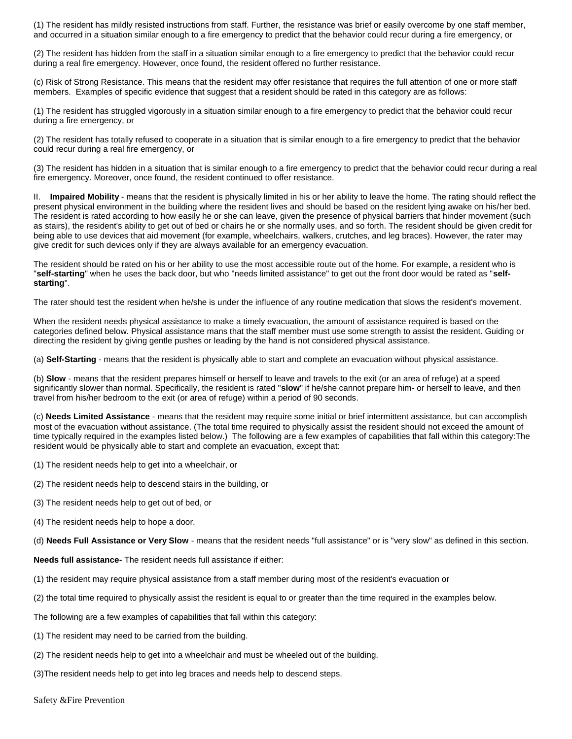(1) The resident has mildly resisted instructions from staff. Further, the resistance was brief or easily overcome by one staff member, and occurred in a situation similar enough to a fire emergency to predict that the behavior could recur during a fire emergency, or

(2) The resident has hidden from the staff in a situation similar enough to a fire emergency to predict that the behavior could recur during a real fire emergency. However, once found, the resident offered no further resistance.

(c) Risk of Strong Resistance. This means that the resident may offer resistance that requires the full attention of one or more staff members. Examples of specific evidence that suggest that a resident should be rated in this category are as follows:

(1) The resident has struggled vigorously in a situation similar enough to a fire emergency to predict that the behavior could recur during a fire emergency, or

(2) The resident has totally refused to cooperate in a situation that is similar enough to a fire emergency to predict that the behavior could recur during a real fire emergency, or

(3) The resident has hidden in a situation that is similar enough to a fire emergency to predict that the behavior could recur during a real fire emergency. Moreover, once found, the resident continued to offer resistance.

II. **Impaired Mobility** - means that the resident is physically limited in his or her ability to leave the home. The rating should reflect the present physical environment in the building where the resident lives and should be based on the resident lying awake on his/her bed. The resident is rated according to how easily he or she can leave, given the presence of physical barriers that hinder movement (such as stairs), the resident's ability to get out of bed or chairs he or she normally uses, and so forth. The resident should be given credit for being able to use devices that aid movement (for example, wheelchairs, walkers, crutches, and leg braces). However, the rater may give credit for such devices only if they are always available for an emergency evacuation.

The resident should be rated on his or her ability to use the most accessible route out of the home. For example, a resident who is "**self-starting**" when he uses the back door, but who "needs limited assistance" to get out the front door would be rated as "**selfstarting**".

The rater should test the resident when he/she is under the influence of any routine medication that slows the resident's movement.

When the resident needs physical assistance to make a timely evacuation, the amount of assistance required is based on the categories defined below. Physical assistance mans that the staff member must use some strength to assist the resident. Guiding or directing the resident by giving gentle pushes or leading by the hand is not considered physical assistance.

(a) **Self-Starting** - means that the resident is physically able to start and complete an evacuation without physical assistance.

(b) **Slow** - means that the resident prepares himself or herself to leave and travels to the exit (or an area of refuge) at a speed significantly slower than normal. Specifically, the resident is rated "**slow**" if he/she cannot prepare him- or herself to leave, and then travel from his/her bedroom to the exit (or area of refuge) within a period of 90 seconds.

(c) **Needs Limited Assistance** - means that the resident may require some initial or brief intermittent assistance, but can accomplish most of the evacuation without assistance. (The total time required to physically assist the resident should not exceed the amount of time typically required in the examples listed below.) The following are a few examples of capabilities that fall within this category:The resident would be physically able to start and complete an evacuation, except that:

- (1) The resident needs help to get into a wheelchair, or
- (2) The resident needs help to descend stairs in the building, or
- (3) The resident needs help to get out of bed, or
- (4) The resident needs help to hope a door.

(d) **Needs Full Assistance or Very Slow** - means that the resident needs "full assistance" or is "very slow" as defined in this section.

**Needs full assistance-** The resident needs full assistance if either:

- (1) the resident may require physical assistance from a staff member during most of the resident's evacuation or
- (2) the total time required to physically assist the resident is equal to or greater than the time required in the examples below.

The following are a few examples of capabilities that fall within this category:

(1) The resident may need to be carried from the building.

- (2) The resident needs help to get into a wheelchair and must be wheeled out of the building.
- (3)The resident needs help to get into leg braces and needs help to descend steps.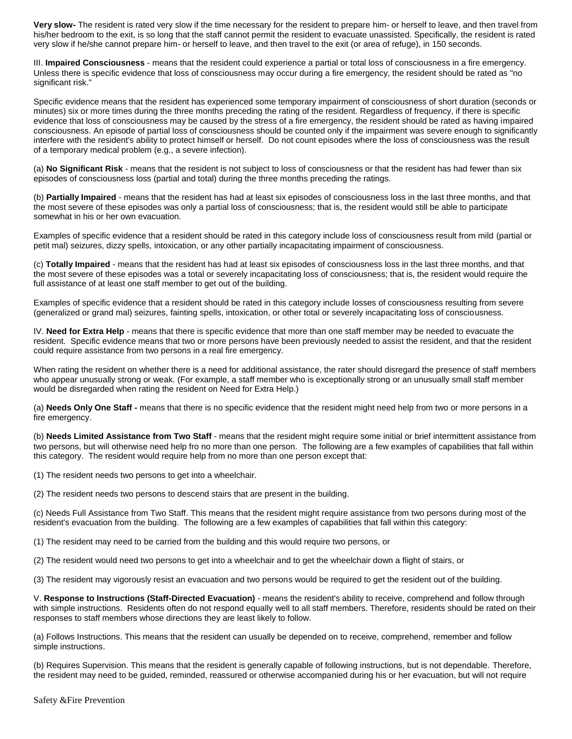**Very slow-** The resident is rated very slow if the time necessary for the resident to prepare him- or herself to leave, and then travel from his/her bedroom to the exit, is so long that the staff cannot permit the resident to evacuate unassisted. Specifically, the resident is rated very slow if he/she cannot prepare him- or herself to leave, and then travel to the exit (or area of refuge), in 150 seconds.

III. **Impaired Consciousness** - means that the resident could experience a partial or total loss of consciousness in a fire emergency. Unless there is specific evidence that loss of consciousness may occur during a fire emergency, the resident should be rated as "no significant risk."

Specific evidence means that the resident has experienced some temporary impairment of consciousness of short duration (seconds or minutes) six or more times during the three months preceding the rating of the resident. Regardless of frequency, if there is specific evidence that loss of consciousness may be caused by the stress of a fire emergency, the resident should be rated as having impaired consciousness. An episode of partial loss of consciousness should be counted only if the impairment was severe enough to significantly interfere with the resident's ability to protect himself or herself. Do not count episodes where the loss of consciousness was the result of a temporary medical problem (e.g., a severe infection).

(a) **No Significant Risk** - means that the resident is not subject to loss of consciousness or that the resident has had fewer than six episodes of consciousness loss (partial and total) during the three months preceding the ratings.

(b) **Partially Impaired** - means that the resident has had at least six episodes of consciousness loss in the last three months, and that the most severe of these episodes was only a partial loss of consciousness; that is, the resident would still be able to participate somewhat in his or her own evacuation.

Examples of specific evidence that a resident should be rated in this category include loss of consciousness result from mild (partial or petit mal) seizures, dizzy spells, intoxication, or any other partially incapacitating impairment of consciousness.

(c) **Totally Impaired** - means that the resident has had at least six episodes of consciousness loss in the last three months, and that the most severe of these episodes was a total or severely incapacitating loss of consciousness; that is, the resident would require the full assistance of at least one staff member to get out of the building.

Examples of specific evidence that a resident should be rated in this category include losses of consciousness resulting from severe (generalized or grand mal) seizures, fainting spells, intoxication, or other total or severely incapacitating loss of consciousness.

IV. **Need for Extra Help** - means that there is specific evidence that more than one staff member may be needed to evacuate the resident. Specific evidence means that two or more persons have been previously needed to assist the resident, and that the resident could require assistance from two persons in a real fire emergency.

When rating the resident on whether there is a need for additional assistance, the rater should disregard the presence of staff members who appear unusually strong or weak. (For example, a staff member who is exceptionally strong or an unusually small staff member would be disregarded when rating the resident on Need for Extra Help.)

(a) **Needs Only One Staff -** means that there is no specific evidence that the resident might need help from two or more persons in a fire emergency.

(b) **Needs Limited Assistance from Two Staff** - means that the resident might require some initial or brief intermittent assistance from two persons, but will otherwise need help fro no more than one person. The following are a few examples of capabilities that fall within this category. The resident would require help from no more than one person except that:

(1) The resident needs two persons to get into a wheelchair.

(2) The resident needs two persons to descend stairs that are present in the building.

(c) Needs Full Assistance from Two Staff. This means that the resident might require assistance from two persons during most of the resident's evacuation from the building. The following are a few examples of capabilities that fall within this category:

(1) The resident may need to be carried from the building and this would require two persons, or

(2) The resident would need two persons to get into a wheelchair and to get the wheelchair down a flight of stairs, or

(3) The resident may vigorously resist an evacuation and two persons would be required to get the resident out of the building.

V. **Response to Instructions (Staff-Directed Evacuation)** - means the resident's ability to receive, comprehend and follow through with simple instructions. Residents often do not respond equally well to all staff members. Therefore, residents should be rated on their responses to staff members whose directions they are least likely to follow.

(a) Follows Instructions. This means that the resident can usually be depended on to receive, comprehend, remember and follow simple instructions.

(b) Requires Supervision. This means that the resident is generally capable of following instructions, but is not dependable. Therefore, the resident may need to be guided, reminded, reassured or otherwise accompanied during his or her evacuation, but will not require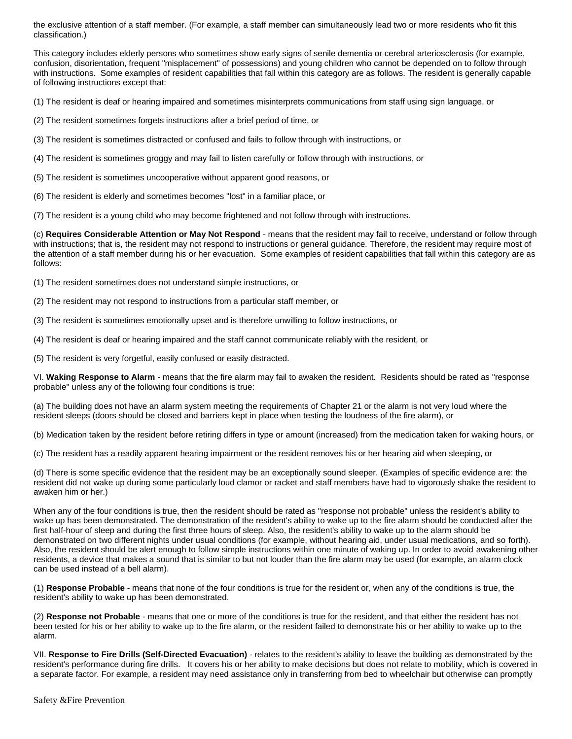the exclusive attention of a staff member. (For example, a staff member can simultaneously lead two or more residents who fit this classification.)

This category includes elderly persons who sometimes show early signs of senile dementia or cerebral arteriosclerosis (for example, confusion, disorientation, frequent "misplacement" of possessions) and young children who cannot be depended on to follow through with instructions. Some examples of resident capabilities that fall within this category are as follows. The resident is generally capable of following instructions except that:

(1) The resident is deaf or hearing impaired and sometimes misinterprets communications from staff using sign language, or

- (2) The resident sometimes forgets instructions after a brief period of time, or
- (3) The resident is sometimes distracted or confused and fails to follow through with instructions, or
- (4) The resident is sometimes groggy and may fail to listen carefully or follow through with instructions, or
- (5) The resident is sometimes uncooperative without apparent good reasons, or
- (6) The resident is elderly and sometimes becomes "lost" in a familiar place, or

(7) The resident is a young child who may become frightened and not follow through with instructions.

(c) **Requires Considerable Attention or May Not Respond** - means that the resident may fail to receive, understand or follow through with instructions; that is, the resident may not respond to instructions or general guidance. Therefore, the resident may require most of the attention of a staff member during his or her evacuation. Some examples of resident capabilities that fall within this category are as follows:

- (1) The resident sometimes does not understand simple instructions, or
- (2) The resident may not respond to instructions from a particular staff member, or
- (3) The resident is sometimes emotionally upset and is therefore unwilling to follow instructions, or
- (4) The resident is deaf or hearing impaired and the staff cannot communicate reliably with the resident, or

(5) The resident is very forgetful, easily confused or easily distracted.

VI. **Waking Response to Alarm** - means that the fire alarm may fail to awaken the resident. Residents should be rated as "response probable" unless any of the following four conditions is true:

(a) The building does not have an alarm system meeting the requirements of Chapter 21 or the alarm is not very loud where the resident sleeps (doors should be closed and barriers kept in place when testing the loudness of the fire alarm), or

(b) Medication taken by the resident before retiring differs in type or amount (increased) from the medication taken for waking hours, or

(c) The resident has a readily apparent hearing impairment or the resident removes his or her hearing aid when sleeping, or

(d) There is some specific evidence that the resident may be an exceptionally sound sleeper. (Examples of specific evidence are: the resident did not wake up during some particularly loud clamor or racket and staff members have had to vigorously shake the resident to awaken him or her.)

When any of the four conditions is true, then the resident should be rated as "response not probable" unless the resident's ability to wake up has been demonstrated. The demonstration of the resident's ability to wake up to the fire alarm should be conducted after the first half-hour of sleep and during the first three hours of sleep. Also, the resident's ability to wake up to the alarm should be demonstrated on two different nights under usual conditions (for example, without hearing aid, under usual medications, and so forth). Also, the resident should be alert enough to follow simple instructions within one minute of waking up. In order to avoid awakening other residents, a device that makes a sound that is similar to but not louder than the fire alarm may be used (for example, an alarm clock can be used instead of a bell alarm).

(1) **Response Probable** - means that none of the four conditions is true for the resident or, when any of the conditions is true, the resident's ability to wake up has been demonstrated.

(2) **Response not Probable** - means that one or more of the conditions is true for the resident, and that either the resident has not been tested for his or her ability to wake up to the fire alarm, or the resident failed to demonstrate his or her ability to wake up to the alarm.

VII. **Response to Fire Drills (Self-Directed Evacuation)** - relates to the resident's ability to leave the building as demonstrated by the resident's performance during fire drills. It covers his or her ability to make decisions but does not relate to mobility, which is covered in a separate factor. For example, a resident may need assistance only in transferring from bed to wheelchair but otherwise can promptly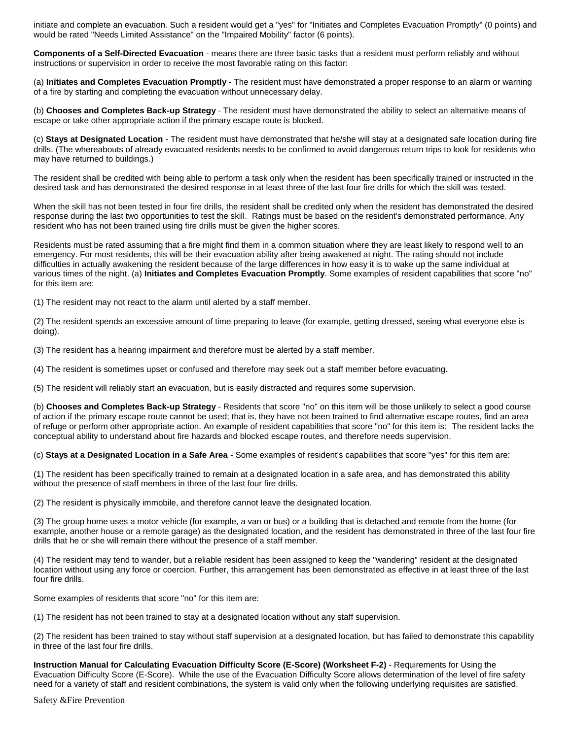initiate and complete an evacuation. Such a resident would get a "yes" for "Initiates and Completes Evacuation Promptly" (0 points) and would be rated "Needs Limited Assistance" on the "Impaired Mobility" factor (6 points).

**Components of a Self-Directed Evacuation** - means there are three basic tasks that a resident must perform reliably and without instructions or supervision in order to receive the most favorable rating on this factor:

(a) **Initiates and Completes Evacuation Promptly** - The resident must have demonstrated a proper response to an alarm or warning of a fire by starting and completing the evacuation without unnecessary delay.

(b) **Chooses and Completes Back-up Strategy** - The resident must have demonstrated the ability to select an alternative means of escape or take other appropriate action if the primary escape route is blocked.

(c) **Stays at Designated Location** - The resident must have demonstrated that he/she will stay at a designated safe location during fire drills. (The whereabouts of already evacuated residents needs to be confirmed to avoid dangerous return trips to look for residents who may have returned to buildings.)

The resident shall be credited with being able to perform a task only when the resident has been specifically trained or instructed in the desired task and has demonstrated the desired response in at least three of the last four fire drills for which the skill was tested.

When the skill has not been tested in four fire drills, the resident shall be credited only when the resident has demonstrated the desired response during the last two opportunities to test the skill. Ratings must be based on the resident's demonstrated performance. Any resident who has not been trained using fire drills must be given the higher scores.

Residents must be rated assuming that a fire might find them in a common situation where they are least likely to respond well to an emergency. For most residents, this will be their evacuation ability after being awakened at night. The rating should not include difficulties in actually awakening the resident because of the large differences in how easy it is to wake up the same individual at various times of the night. (a) **Initiates and Completes Evacuation Promptly**. Some examples of resident capabilities that score "no" for this item are:

(1) The resident may not react to the alarm until alerted by a staff member.

(2) The resident spends an excessive amount of time preparing to leave (for example, getting dressed, seeing what everyone else is doing).

(3) The resident has a hearing impairment and therefore must be alerted by a staff member.

(4) The resident is sometimes upset or confused and therefore may seek out a staff member before evacuating.

(5) The resident will reliably start an evacuation, but is easily distracted and requires some supervision.

(b) **Chooses and Completes Back-up Strategy** - Residents that score "no" on this item will be those unlikely to select a good course of action if the primary escape route cannot be used; that is, they have not been trained to find alternative escape routes, find an area of refuge or perform other appropriate action. An example of resident capabilities that score "no" for this item is: The resident lacks the conceptual ability to understand about fire hazards and blocked escape routes, and therefore needs supervision.

(c) **Stays at a Designated Location in a Safe Area** - Some examples of resident's capabilities that score "yes" for this item are:

(1) The resident has been specifically trained to remain at a designated location in a safe area, and has demonstrated this ability without the presence of staff members in three of the last four fire drills.

(2) The resident is physically immobile, and therefore cannot leave the designated location.

(3) The group home uses a motor vehicle (for example, a van or bus) or a building that is detached and remote from the home (for example, another house or a remote garage) as the designated location, and the resident has demonstrated in three of the last four fire drills that he or she will remain there without the presence of a staff member.

(4) The resident may tend to wander, but a reliable resident has been assigned to keep the "wandering" resident at the designated location without using any force or coercion. Further, this arrangement has been demonstrated as effective in at least three of the last four fire drills.

Some examples of residents that score "no" for this item are:

(1) The resident has not been trained to stay at a designated location without any staff supervision.

(2) The resident has been trained to stay without staff supervision at a designated location, but has failed to demonstrate this capability in three of the last four fire drills.

**Instruction Manual for Calculating Evacuation Difficulty Score (E-Score) (Worksheet F-2)** - Requirements for Using the Evacuation Difficulty Score (E-Score). While the use of the Evacuation Difficulty Score allows determination of the level of fire safety need for a variety of staff and resident combinations, the system is valid only when the following underlying requisites are satisfied.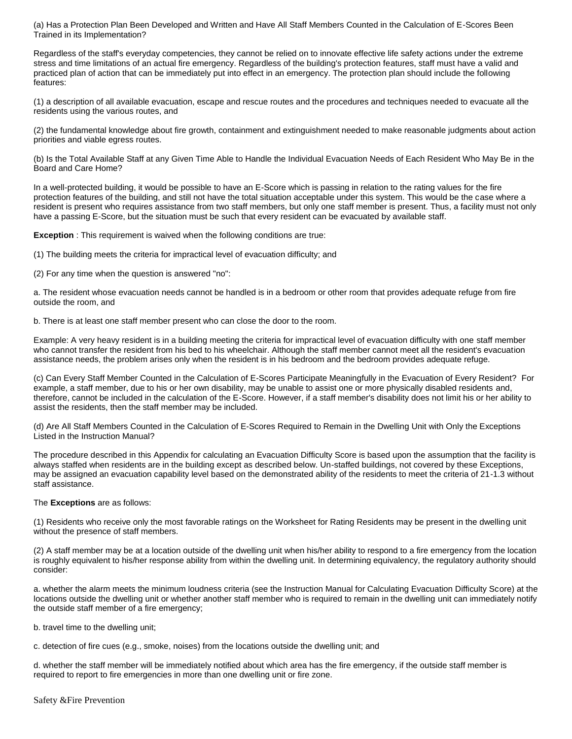(a) Has a Protection Plan Been Developed and Written and Have All Staff Members Counted in the Calculation of E-Scores Been Trained in its Implementation?

Regardless of the staff's everyday competencies, they cannot be relied on to innovate effective life safety actions under the extreme stress and time limitations of an actual fire emergency. Regardless of the building's protection features, staff must have a valid and practiced plan of action that can be immediately put into effect in an emergency. The protection plan should include the following features:

(1) a description of all available evacuation, escape and rescue routes and the procedures and techniques needed to evacuate all the residents using the various routes, and

(2) the fundamental knowledge about fire growth, containment and extinguishment needed to make reasonable judgments about action priorities and viable egress routes.

(b) Is the Total Available Staff at any Given Time Able to Handle the Individual Evacuation Needs of Each Resident Who May Be in the Board and Care Home?

In a well-protected building, it would be possible to have an E-Score which is passing in relation to the rating values for the fire protection features of the building, and still not have the total situation acceptable under this system. This would be the case where a resident is present who requires assistance from two staff members, but only one staff member is present. Thus, a facility must not only have a passing E-Score, but the situation must be such that every resident can be evacuated by available staff.

**Exception** : This requirement is waived when the following conditions are true:

(1) The building meets the criteria for impractical level of evacuation difficulty; and

(2) For any time when the question is answered "no":

a. The resident whose evacuation needs cannot be handled is in a bedroom or other room that provides adequate refuge from fire outside the room, and

b. There is at least one staff member present who can close the door to the room.

Example: A very heavy resident is in a building meeting the criteria for impractical level of evacuation difficulty with one staff member who cannot transfer the resident from his bed to his wheelchair. Although the staff member cannot meet all the resident's evacuation assistance needs, the problem arises only when the resident is in his bedroom and the bedroom provides adequate refuge.

(c) Can Every Staff Member Counted in the Calculation of E-Scores Participate Meaningfully in the Evacuation of Every Resident? For example, a staff member, due to his or her own disability, may be unable to assist one or more physically disabled residents and, therefore, cannot be included in the calculation of the E-Score. However, if a staff member's disability does not limit his or her ability to assist the residents, then the staff member may be included.

(d) Are All Staff Members Counted in the Calculation of E-Scores Required to Remain in the Dwelling Unit with Only the Exceptions Listed in the Instruction Manual?

The procedure described in this Appendix for calculating an Evacuation Difficulty Score is based upon the assumption that the facility is always staffed when residents are in the building except as described below. Un-staffed buildings, not covered by these Exceptions, may be assigned an evacuation capability level based on the demonstrated ability of the residents to meet the criteria of 21-1.3 without staff assistance.

#### The **Exceptions** are as follows:

(1) Residents who receive only the most favorable ratings on the Worksheet for Rating Residents may be present in the dwelling unit without the presence of staff members.

(2) A staff member may be at a location outside of the dwelling unit when his/her ability to respond to a fire emergency from the location is roughly equivalent to his/her response ability from within the dwelling unit. In determining equivalency, the regulatory authority should consider:

a. whether the alarm meets the minimum loudness criteria (see the Instruction Manual for Calculating Evacuation Difficulty Score) at the locations outside the dwelling unit or whether another staff member who is required to remain in the dwelling unit can immediately notify the outside staff member of a fire emergency;

b. travel time to the dwelling unit;

c. detection of fire cues (e.g., smoke, noises) from the locations outside the dwelling unit; and

d. whether the staff member will be immediately notified about which area has the fire emergency, if the outside staff member is required to report to fire emergencies in more than one dwelling unit or fire zone.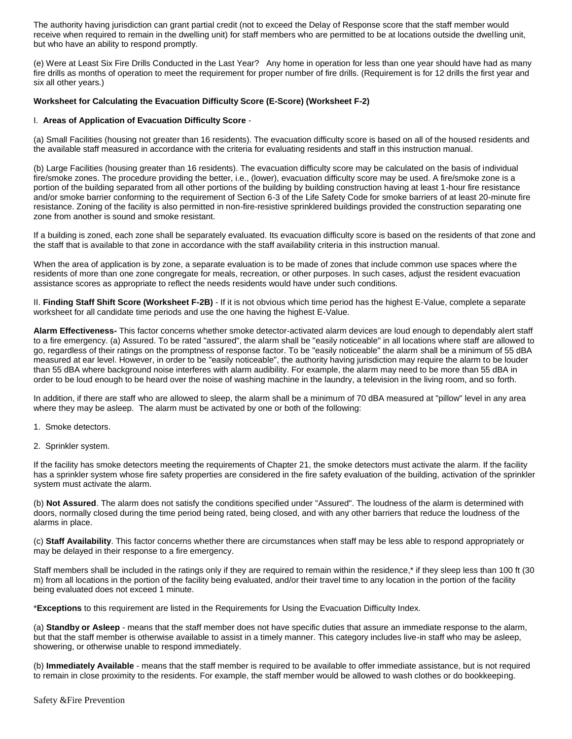The authority having jurisdiction can grant partial credit (not to exceed the Delay of Response score that the staff member would receive when required to remain in the dwelling unit) for staff members who are permitted to be at locations outside the dwelling unit, but who have an ability to respond promptly.

(e) Were at Least Six Fire Drills Conducted in the Last Year? Any home in operation for less than one year should have had as many fire drills as months of operation to meet the requirement for proper number of fire drills. (Requirement is for 12 drills the first year and six all other years.)

#### **Worksheet for Calculating the Evacuation Difficulty Score (E-Score) (Worksheet F-2)**

#### I. **Areas of Application of Evacuation Difficulty Score** -

(a) Small Facilities (housing not greater than 16 residents). The evacuation difficulty score is based on all of the housed residents and the available staff measured in accordance with the criteria for evaluating residents and staff in this instruction manual.

(b) Large Facilities (housing greater than 16 residents). The evacuation difficulty score may be calculated on the basis of individual fire/smoke zones. The procedure providing the better, i.e., (lower), evacuation difficulty score may be used. A fire/smoke zone is a portion of the building separated from all other portions of the building by building construction having at least 1-hour fire resistance and/or smoke barrier conforming to the requirement of Section 6-3 of the Life Safety Code for smoke barriers of at least 20-minute fire resistance. Zoning of the facility is also permitted in non-fire-resistive sprinklered buildings provided the construction separating one zone from another is sound and smoke resistant.

If a building is zoned, each zone shall be separately evaluated. Its evacuation difficulty score is based on the residents of that zone and the staff that is available to that zone in accordance with the staff availability criteria in this instruction manual.

When the area of application is by zone, a separate evaluation is to be made of zones that include common use spaces where the residents of more than one zone congregate for meals, recreation, or other purposes. In such cases, adjust the resident evacuation assistance scores as appropriate to reflect the needs residents would have under such conditions.

II. **Finding Staff Shift Score (Worksheet F-2B)** - If it is not obvious which time period has the highest E-Value, complete a separate worksheet for all candidate time periods and use the one having the highest E-Value.

**Alarm Effectiveness-** This factor concerns whether smoke detector-activated alarm devices are loud enough to dependably alert staff to a fire emergency. (a) Assured. To be rated "assured", the alarm shall be "easily noticeable" in all locations where staff are allowed to go, regardless of their ratings on the promptness of response factor. To be "easily noticeable" the alarm shall be a minimum of 55 dBA measured at ear level. However, in order to be "easily noticeable", the authority having jurisdiction may require the alarm to be louder than 55 dBA where background noise interferes with alarm audibility. For example, the alarm may need to be more than 55 dBA in order to be loud enough to be heard over the noise of washing machine in the laundry, a television in the living room, and so forth.

In addition, if there are staff who are allowed to sleep, the alarm shall be a minimum of 70 dBA measured at "pillow" level in any area where they may be asleep. The alarm must be activated by one or both of the following:

- 1. Smoke detectors.
- 2. Sprinkler system.

If the facility has smoke detectors meeting the requirements of Chapter 21, the smoke detectors must activate the alarm. If the facility has a sprinkler system whose fire safety properties are considered in the fire safety evaluation of the building, activation of the sprinkler system must activate the alarm.

(b) **Not Assured**. The alarm does not satisfy the conditions specified under "Assured". The loudness of the alarm is determined with doors, normally closed during the time period being rated, being closed, and with any other barriers that reduce the loudness of the alarms in place.

(c) **Staff Availability**. This factor concerns whether there are circumstances when staff may be less able to respond appropriately or may be delayed in their response to a fire emergency.

Staff members shall be included in the ratings only if they are required to remain within the residence,\* if they sleep less than 100 ft (30 m) from all locations in the portion of the facility being evaluated, and/or their travel time to any location in the portion of the facility being evaluated does not exceed 1 minute.

\***Exceptions** to this requirement are listed in the Requirements for Using the Evacuation Difficulty Index.

(a) **Standby or Asleep** - means that the staff member does not have specific duties that assure an immediate response to the alarm, but that the staff member is otherwise available to assist in a timely manner. This category includes live-in staff who may be asleep, showering, or otherwise unable to respond immediately.

(b) **Immediately Available** - means that the staff member is required to be available to offer immediate assistance, but is not required to remain in close proximity to the residents. For example, the staff member would be allowed to wash clothes or do bookkeeping.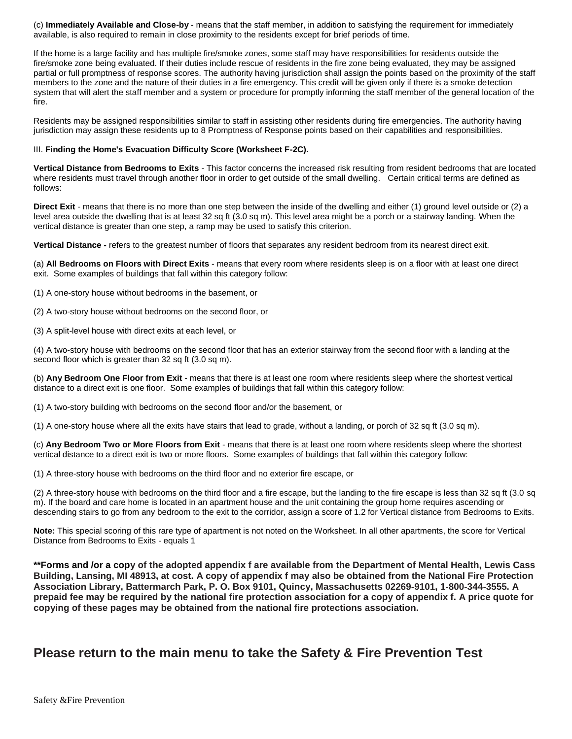(c) **Immediately Available and Close-by** - means that the staff member, in addition to satisfying the requirement for immediately available, is also required to remain in close proximity to the residents except for brief periods of time.

If the home is a large facility and has multiple fire/smoke zones, some staff may have responsibilities for residents outside the fire/smoke zone being evaluated. If their duties include rescue of residents in the fire zone being evaluated, they may be assigned partial or full promptness of response scores. The authority having jurisdiction shall assign the points based on the proximity of the staff members to the zone and the nature of their duties in a fire emergency. This credit will be given only if there is a smoke detection system that will alert the staff member and a system or procedure for promptly informing the staff member of the general location of the fire.

Residents may be assigned responsibilities similar to staff in assisting other residents during fire emergencies. The authority having jurisdiction may assign these residents up to 8 Promptness of Response points based on their capabilities and responsibilities.

#### III. **Finding the Home's Evacuation Difficulty Score (Worksheet F-2C).**

**Vertical Distance from Bedrooms to Exits** - This factor concerns the increased risk resulting from resident bedrooms that are located where residents must travel through another floor in order to get outside of the small dwelling. Certain critical terms are defined as follows:

**Direct Exit** - means that there is no more than one step between the inside of the dwelling and either (1) ground level outside or (2) a level area outside the dwelling that is at least 32 sq ft (3.0 sq m). This level area might be a porch or a stairway landing. When the vertical distance is greater than one step, a ramp may be used to satisfy this criterion.

**Vertical Distance -** refers to the greatest number of floors that separates any resident bedroom from its nearest direct exit.

(a) **All Bedrooms on Floors with Direct Exits** - means that every room where residents sleep is on a floor with at least one direct exit. Some examples of buildings that fall within this category follow:

(1) A one-story house without bedrooms in the basement, or

(2) A two-story house without bedrooms on the second floor, or

(3) A split-level house with direct exits at each level, or

(4) A two-story house with bedrooms on the second floor that has an exterior stairway from the second floor with a landing at the second floor which is greater than 32 sq ft (3.0 sq m).

(b) **Any Bedroom One Floor from Exit** - means that there is at least one room where residents sleep where the shortest vertical distance to a direct exit is one floor. Some examples of buildings that fall within this category follow:

(1) A two-story building with bedrooms on the second floor and/or the basement, or

(1) A one-story house where all the exits have stairs that lead to grade, without a landing, or porch of 32 sq ft (3.0 sq m).

(c) **Any Bedroom Two or More Floors from Exit** - means that there is at least one room where residents sleep where the shortest vertical distance to a direct exit is two or more floors. Some examples of buildings that fall within this category follow:

(1) A three-story house with bedrooms on the third floor and no exterior fire escape, or

(2) A three-story house with bedrooms on the third floor and a fire escape, but the landing to the fire escape is less than 32 sq ft (3.0 sq m). If the board and care home is located in an apartment house and the unit containing the group home requires ascending or descending stairs to go from any bedroom to the exit to the corridor, assign a score of 1.2 for Vertical distance from Bedrooms to Exits.

**Note:** This special scoring of this rare type of apartment is not noted on the Worksheet. In all other apartments, the score for Vertical Distance from Bedrooms to Exits - equals 1

**\*\*Forms and /or a copy of the adopted appendix f are available from the Department of Mental Health, Lewis Cass Building, Lansing, MI 48913, at cost. A copy of appendix f may also be obtained from the National Fire Protection Association Library, Battermarch Park, P. O. Box 9101, Quincy, Massachusetts 02269-9101, 1-800-344-3555. A prepaid fee may be required by the national fire protection association for a copy of appendix f. A price quote for copying of these pages may be obtained from the national fire protections association.**

### **Please return to the main menu to take the Safety & Fire Prevention Test**